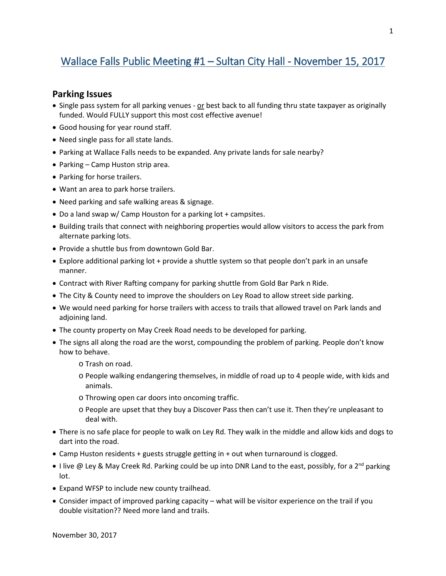## Wallace Falls Public Meeting #1 – Sultan City Hall - November 15, 2017

## **Parking Issues**

- Single pass system for all parking venues or best back to all funding thru state taxpayer as originally funded. Would FULLY support this most cost effective avenue!
- Good housing for year round staff.
- Need single pass for all state lands.
- Parking at Wallace Falls needs to be expanded. Any private lands for sale nearby?
- Parking Camp Huston strip area.
- Parking for horse trailers.
- Want an area to park horse trailers.
- Need parking and safe walking areas & signage.
- Do a land swap w/ Camp Houston for a parking lot + campsites.
- Building trails that connect with neighboring properties would allow visitors to access the park from alternate parking lots.
- Provide a shuttle bus from downtown Gold Bar.
- Explore additional parking lot + provide a shuttle system so that people don't park in an unsafe manner.
- Contract with River Rafting company for parking shuttle from Gold Bar Park n Ride.
- The City & County need to improve the shoulders on Ley Road to allow street side parking.
- We would need parking for horse trailers with access to trails that allowed travel on Park lands and adjoining land.
- The county property on May Creek Road needs to be developed for parking.
- The signs all along the road are the worst, compounding the problem of parking. People don't know how to behave.
	- o Trash on road.
	- o People walking endangering themselves, in middle of road up to 4 people wide, with kids and animals.
	- o Throwing open car doors into oncoming traffic.
	- o People are upset that they buy a Discover Pass then can't use it. Then they're unpleasant to deal with.
- There is no safe place for people to walk on Ley Rd. They walk in the middle and allow kids and dogs to dart into the road.
- Camp Huston residents + guests struggle getting in + out when turnaround is clogged.
- I live @ Ley & May Creek Rd. Parking could be up into DNR Land to the east, possibly, for a 2<sup>nd</sup> parking lot.
- Expand WFSP to include new county trailhead.
- Consider impact of improved parking capacity what will be visitor experience on the trail if you double visitation?? Need more land and trails.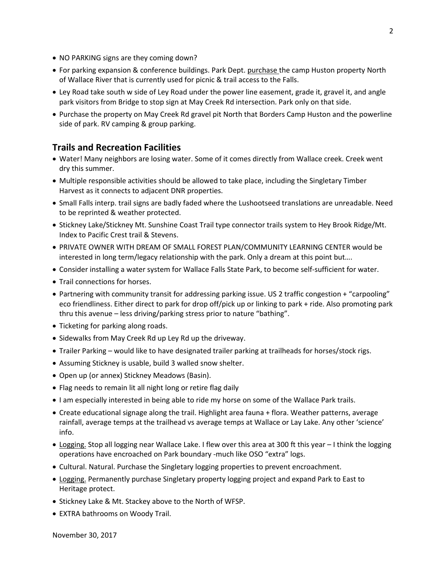- NO PARKING signs are they coming down?
- For parking expansion & conference buildings. Park Dept. purchase the camp Huston property North of Wallace River that is currently used for picnic & trail access to the Falls.
- Ley Road take south w side of Ley Road under the power line easement, grade it, gravel it, and angle park visitors from Bridge to stop sign at May Creek Rd intersection. Park only on that side.
- Purchase the property on May Creek Rd gravel pit North that Borders Camp Huston and the powerline side of park. RV camping & group parking.

## **Trails and Recreation Facilities**

- Water! Many neighbors are losing water. Some of it comes directly from Wallace creek. Creek went dry this summer.
- Multiple responsible activities should be allowed to take place, including the Singletary Timber Harvest as it connects to adjacent DNR properties.
- Small Falls interp. trail signs are badly faded where the Lushootseed translations are unreadable. Need to be reprinted & weather protected.
- Stickney Lake/Stickney Mt. Sunshine Coast Trail type connector trails system to Hey Brook Ridge/Mt. Index to Pacific Crest trail & Stevens.
- PRIVATE OWNER WITH DREAM OF SMALL FOREST PLAN/COMMUNITY LEARNING CENTER would be interested in long term/legacy relationship with the park. Only a dream at this point but….
- Consider installing a water system for Wallace Falls State Park, to become self-sufficient for water.
- Trail connections for horses.
- Partnering with community transit for addressing parking issue. US 2 traffic congestion + "carpooling" eco friendliness. Either direct to park for drop off/pick up or linking to park + ride. Also promoting park thru this avenue – less driving/parking stress prior to nature "bathing".
- Ticketing for parking along roads.
- Sidewalks from May Creek Rd up Ley Rd up the driveway.
- Trailer Parking would like to have designated trailer parking at trailheads for horses/stock rigs.
- Assuming Stickney is usable, build 3 walled snow shelter.
- Open up (or annex) Stickney Meadows (Basin).
- Flag needs to remain lit all night long or retire flag daily
- I am especially interested in being able to ride my horse on some of the Wallace Park trails.
- Create educational signage along the trail. Highlight area fauna + flora. Weather patterns, average rainfall, average temps at the trailhead vs average temps at Wallace or Lay Lake. Any other 'science' info.
- Logging. Stop all logging near Wallace Lake. I flew over this area at 300 ft this year I think the logging operations have encroached on Park boundary -much like OSO "extra" logs.
- Cultural. Natural. Purchase the Singletary logging properties to prevent encroachment.
- Logging. Permanently purchase Singletary property logging project and expand Park to East to Heritage protect.
- Stickney Lake & Mt. Stackey above to the North of WFSP.
- EXTRA bathrooms on Woody Trail.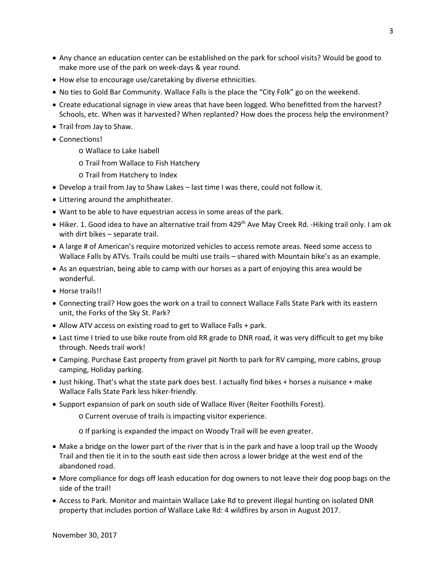- Any chance an education center can be established on the park for school visits? Would be good to make more use of the park on week-days & year round.
- How else to encourage use/caretaking by diverse ethnicities.
- No ties to Gold Bar Community. Wallace Falls is the place the "City Folk" go on the weekend.
- Create educational signage in view areas that have been logged. Who benefitted from the harvest? Schools, etc. When was it harvested? When replanted? How does the process help the environment?
- Trail from Jay to Shaw.
- Connections!
	- o Wallace to Lake Isabell
	- o Trail from Wallace to Fish Hatchery
	- o Trail from Hatchery to Index
- Develop a trail from Jay to Shaw Lakes last time I was there, could not follow it.
- Littering around the amphitheater.
- Want to be able to have equestrian access in some areas of the park.
- Hiker. 1. Good idea to have an alternative trail from 429<sup>th</sup> Ave May Creek Rd. -Hiking trail only. I am ok with dirt bikes – separate trail.
- A large # of American's require motorized vehicles to access remote areas. Need some access to Wallace Falls by ATVs. Trails could be multi use trails – shared with Mountain bike's as an example.
- As an equestrian, being able to camp with our horses as a part of enjoying this area would be wonderful.
- Horse trails!!
- Connecting trail? How goes the work on a trail to connect Wallace Falls State Park with its eastern unit, the Forks of the Sky St. Park?
- Allow ATV access on existing road to get to Wallace Falls + park.
- Last time I tried to use bike route from old RR grade to DNR road, it was very difficult to get my bike through. Needs trail work!
- Camping. Purchase East property from gravel pit North to park for RV camping, more cabins, group camping, Holiday parking.
- Just hiking. That's what the state park does best. I actually find bikes + horses a nuisance + make Wallace Falls State Park less hiker-friendly.
- Support expansion of park on south side of Wallace River (Reiter Foothills Forest).
	- o Current overuse of trails is impacting visitor experience.
	- o If parking is expanded the impact on Woody Trail will be even greater.
- Make a bridge on the lower part of the river that is in the park and have a loop trail up the Woody Trail and then tie it in to the south east side then across a lower bridge at the west end of the abandoned road.
- More compliance for dogs off leash education for dog owners to not leave their dog poop bags on the side of the trail!
- Access to Park. Monitor and maintain Wallace Lake Rd to prevent illegal hunting on isolated DNR property that includes portion of Wallace Lake Rd: 4 wildfires by arson in August 2017.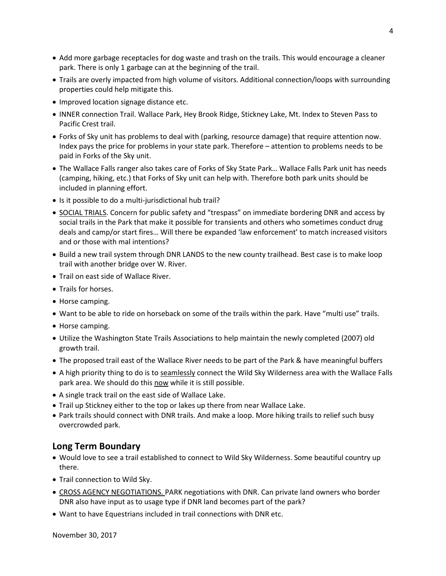- Add more garbage receptacles for dog waste and trash on the trails. This would encourage a cleaner park. There is only 1 garbage can at the beginning of the trail.
- Trails are overly impacted from high volume of visitors. Additional connection/loops with surrounding properties could help mitigate this.
- Improved location signage distance etc.
- INNER connection Trail. Wallace Park, Hey Brook Ridge, Stickney Lake, Mt. Index to Steven Pass to Pacific Crest trail.
- Forks of Sky unit has problems to deal with (parking, resource damage) that require attention now. Index pays the price for problems in your state park. Therefore – attention to problems needs to be paid in Forks of the Sky unit.
- The Wallace Falls ranger also takes care of Forks of Sky State Park… Wallace Falls Park unit has needs (camping, hiking, etc.) that Forks of Sky unit can help with. Therefore both park units should be included in planning effort.
- Is it possible to do a multi-jurisdictional hub trail?
- SOCIAL TRIALS. Concern for public safety and "trespass" on immediate bordering DNR and access by social trails in the Park that make it possible for transients and others who sometimes conduct drug deals and camp/or start fires… Will there be expanded 'law enforcement' to match increased visitors and or those with mal intentions?
- Build a new trail system through DNR LANDS to the new county trailhead. Best case is to make loop trail with another bridge over W. River.
- Trail on east side of Wallace River.
- Trails for horses.
- Horse camping.
- Want to be able to ride on horseback on some of the trails within the park. Have "multi use" trails.
- Horse camping.
- Utilize the Washington State Trails Associations to help maintain the newly completed (2007) old growth trail.
- The proposed trail east of the Wallace River needs to be part of the Park & have meaningful buffers
- A high priority thing to do is to seamlessly connect the Wild Sky Wilderness area with the Wallace Falls park area. We should do this now while it is still possible.
- A single track trail on the east side of Wallace Lake.
- Trail up Stickney either to the top or lakes up there from near Wallace Lake.
- Park trails should connect with DNR trails. And make a loop. More hiking trails to relief such busy overcrowded park.

## **Long Term Boundary**

- Would love to see a trail established to connect to Wild Sky Wilderness. Some beautiful country up there.
- Trail connection to Wild Sky.
- CROSS AGENCY NEGOTIATIONS. PARK negotiations with DNR. Can private land owners who border DNR also have input as to usage type if DNR land becomes part of the park?
- Want to have Equestrians included in trail connections with DNR etc.